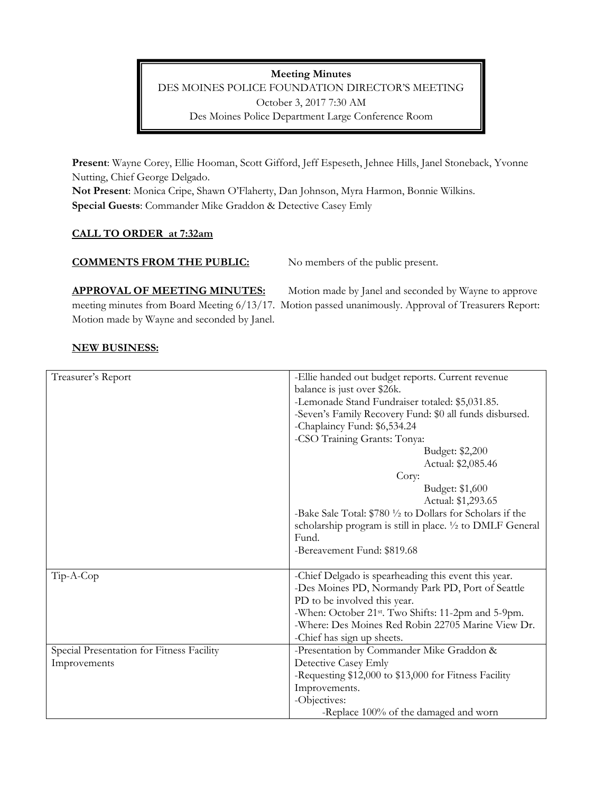**Meeting Minutes**  DES MOINES POLICE FOUNDATION DIRECTOR'S MEETING October 3, 2017 7:30 AM Des Moines Police Department Large Conference Room

**Present**: Wayne Corey, Ellie Hooman, Scott Gifford, Jeff Espeseth, Jehnee Hills, Janel Stoneback, Yvonne Nutting, Chief George Delgado.

**Not Present**: Monica Cripe, Shawn O'Flaherty, Dan Johnson, Myra Harmon, Bonnie Wilkins. **Special Guests**: Commander Mike Graddon & Detective Casey Emly

# **CALL TO ORDER at 7:32am**

### **COMMENTS FROM THE PUBLIC:** No members of the public present.

APPROVAL OF MEETING MINUTES: Motion made by Janel and seconded by Wayne to approve meeting minutes from Board Meeting 6/13/17. Motion passed unanimously. Approval of Treasurers Report: Motion made by Wayne and seconded by Janel.

# **NEW BUSINESS:**

| Treasurer's Report                        | -Ellie handed out budget reports. Current revenue               |
|-------------------------------------------|-----------------------------------------------------------------|
|                                           | balance is just over \$26k.                                     |
|                                           | -Lemonade Stand Fundraiser totaled: \$5,031.85.                 |
|                                           | -Seven's Family Recovery Fund: \$0 all funds disbursed.         |
|                                           | -Chaplaincy Fund: \$6,534.24                                    |
|                                           | -CSO Training Grants: Tonya:                                    |
|                                           | Budget: \$2,200                                                 |
|                                           | Actual: \$2,085.46                                              |
|                                           | Cory:                                                           |
|                                           | Budget: \$1,600                                                 |
|                                           | Actual: \$1,293.65                                              |
|                                           | -Bake Sale Total: \$780 1/2 to Dollars for Scholars if the      |
|                                           | scholarship program is still in place. 1/2 to DMLF General      |
|                                           | Fund.                                                           |
|                                           | -Bereavement Fund: \$819.68                                     |
|                                           |                                                                 |
| Tip-A-Cop                                 | -Chief Delgado is spearheading this event this year.            |
|                                           | -Des Moines PD, Normandy Park PD, Port of Seattle               |
|                                           | PD to be involved this year.                                    |
|                                           | -When: October 21 <sup>st</sup> . Two Shifts: 11-2pm and 5-9pm. |
|                                           | -Where: Des Moines Red Robin 22705 Marine View Dr.              |
|                                           | -Chief has sign up sheets.                                      |
| Special Presentation for Fitness Facility | -Presentation by Commander Mike Graddon &                       |
| Improvements                              | Detective Casey Emly                                            |
|                                           | -Requesting \$12,000 to \$13,000 for Fitness Facility           |
|                                           | Improvements.                                                   |
|                                           | -Objectives:                                                    |
|                                           | -Replace 100% of the damaged and worn                           |